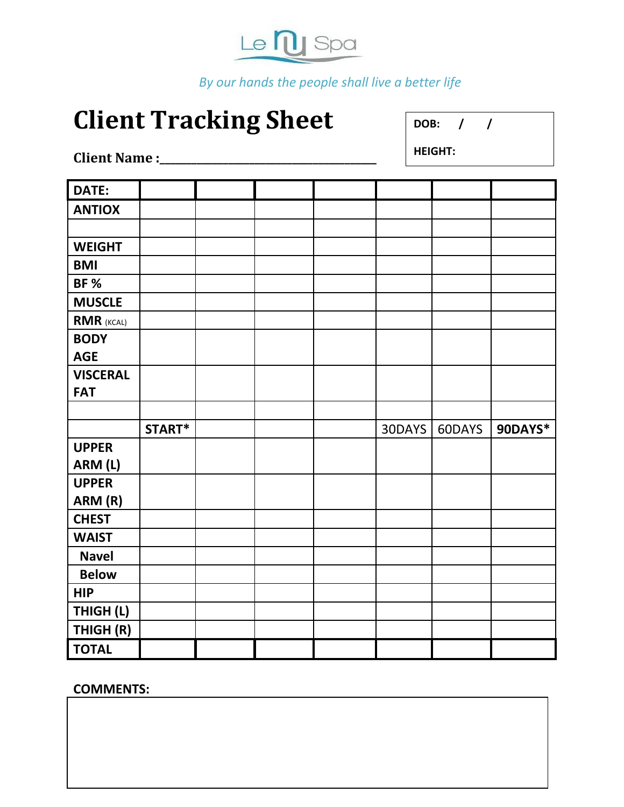

*By our hands the people shall live a better life*

# **Client Tracking Sheet**

**DOB: / /**

**Client Name :\_\_\_\_\_\_\_\_\_\_\_\_\_\_\_\_\_\_\_\_\_\_\_\_\_\_\_\_\_\_\_\_\_\_\_\_\_\_\_\_\_**

**HEIGHT:**

| DATE:             |        |  |        |        |         |
|-------------------|--------|--|--------|--------|---------|
| <b>ANTIOX</b>     |        |  |        |        |         |
|                   |        |  |        |        |         |
| <b>WEIGHT</b>     |        |  |        |        |         |
| <b>BMI</b>        |        |  |        |        |         |
| <b>BF%</b>        |        |  |        |        |         |
| <b>MUSCLE</b>     |        |  |        |        |         |
| <b>RMR (KCAL)</b> |        |  |        |        |         |
| <b>BODY</b>       |        |  |        |        |         |
| <b>AGE</b>        |        |  |        |        |         |
| <b>VISCERAL</b>   |        |  |        |        |         |
| <b>FAT</b>        |        |  |        |        |         |
|                   |        |  |        |        |         |
|                   |        |  |        |        |         |
|                   | START* |  | 30DAYS | 60DAYS | 90DAYS* |
| <b>UPPER</b>      |        |  |        |        |         |
| ARM (L)           |        |  |        |        |         |
| <b>UPPER</b>      |        |  |        |        |         |
| ARM (R)           |        |  |        |        |         |
| <b>CHEST</b>      |        |  |        |        |         |
| <b>WAIST</b>      |        |  |        |        |         |
| <b>Navel</b>      |        |  |        |        |         |
| <b>Below</b>      |        |  |        |        |         |
| <b>HIP</b>        |        |  |        |        |         |
| THIGH (L)         |        |  |        |        |         |
| THIGH (R)         |        |  |        |        |         |

**COMMENTS:**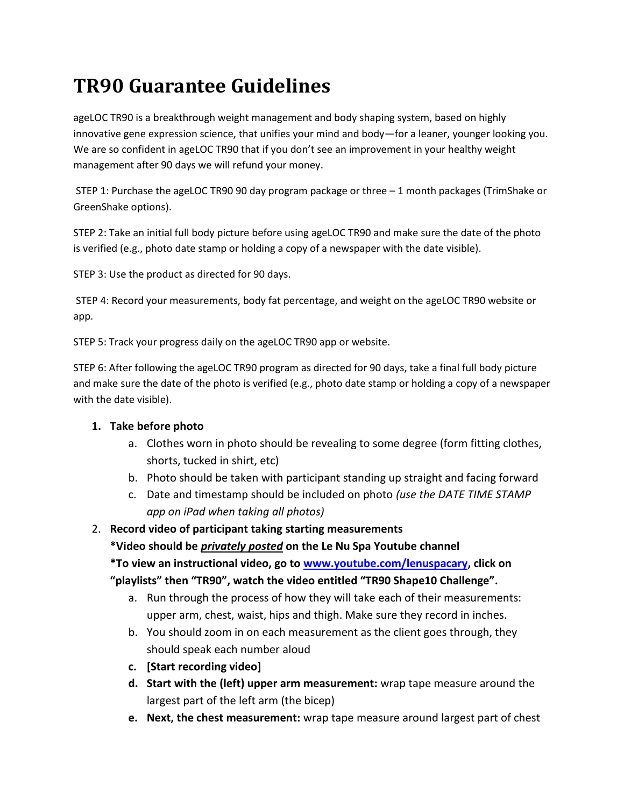## **TR90 Guarantee Guidelines**

ageLOC TR90 is a breakthrough weight management and body shaping system, based on highly innovative gene expression science, that unifies your mind and body—for a leaner, younger looking you. We are so confident in ageLOC TR90 that if you don't see an improvement in your healthy weight management after 90 days we will refund your money.

STEP 1: Purchase the ageLOC TR90 90 day program package or three – 1 month packages (TrimShake or GreenShake options).

STEP 2: Take an initial full body picture before using ageLOC TR90 and make sure the date of the photo is verified (e.g., photo date stamp or holding a copy of a newspaper with the date visible).

STEP 3: Use the product as directed for 90 days.

STEP 4: Record your measurements, body fat percentage, and weight on the ageLOC TR90 website or app.

STEP 5: Track your progress daily on the ageLOC TR90 app or website.

STEP 6: After following the ageLOC TR90 program as directed for 90 days, take a final full body picture and make sure the date of the photo is verified (e.g., photo date stamp or holding a copy of a newspaper with the date visible).

### **1. Take before photo**

- a. Clothes worn in photo should be revealing to some degree (form fitting clothes, shorts, tucked in shirt, etc)
- b. Photo should be taken with participant standing up straight and facing forward
- c. Date and timestamp should be included on photo *(use the DATE TIME STAMP app on iPad when taking all photos)*

### 2. **Record video of participant taking starting measurements**

**\*Video should be** *privately posted* **on the Le Nu Spa Youtube channel**

**\*To view an instructional video, go to [www.youtube.com/lenuspacary,](http://www.youtube.com/lenuspacary) click on "playlists" then "TR90", watch the video entitled "TR90 Shape10 Challenge".**

- a. Run through the process of how they will take each of their measurements: upper arm, chest, waist, hips and thigh. Make sure they record in inches.
- b. You should zoom in on each measurement as the client goes through, they should speak each number aloud
- **c. [Start recording video]**
- **d. Start with the (left) upper arm measurement:** wrap tape measure around the largest part of the left arm (the bicep)
- **e. Next, the chest measurement:** wrap tape measure around largest part of chest